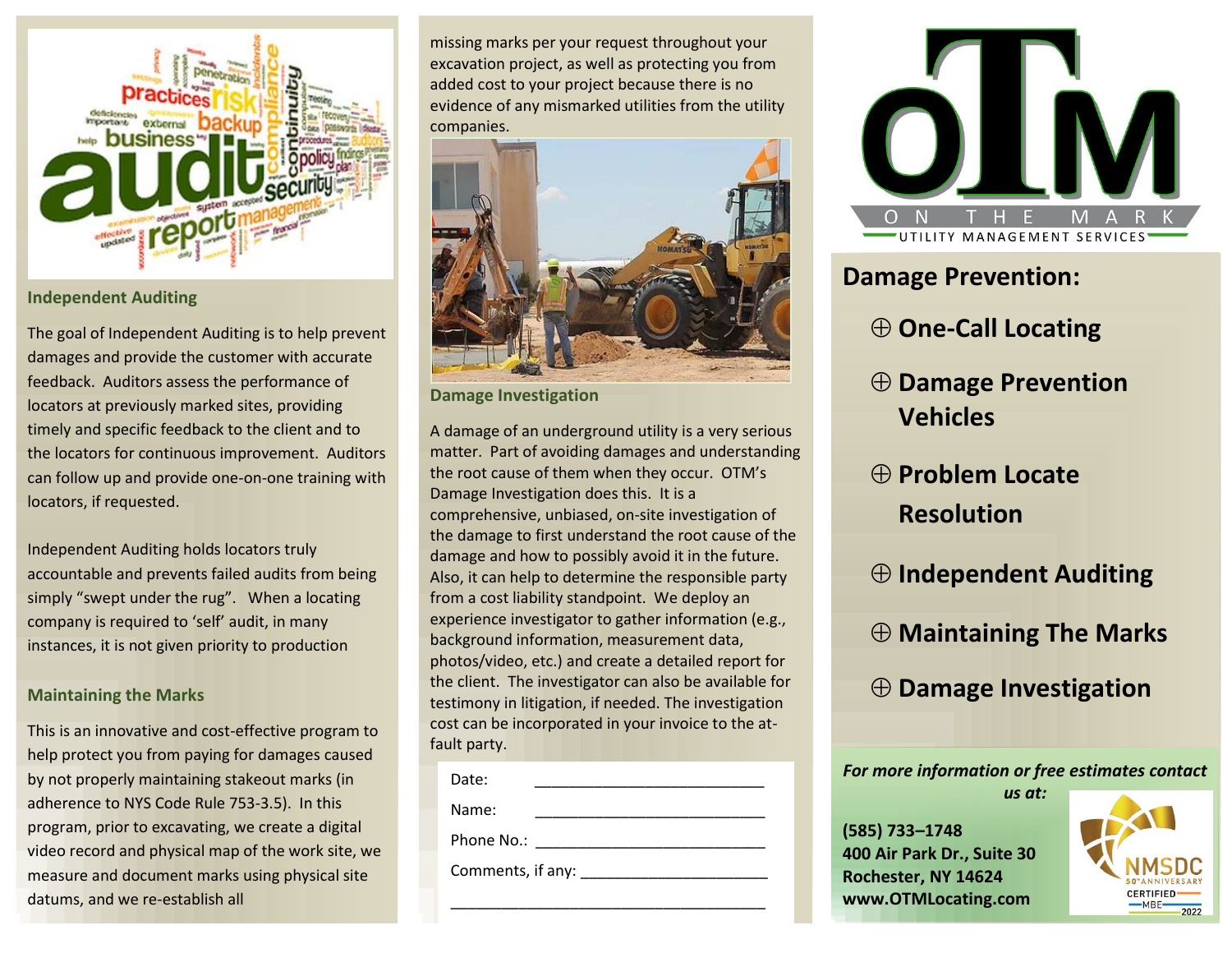

#### **Independent Auditing**

The goal of Independent Auditing is to help prevent damages and provide the customer with accurate feedback. Auditors assess the performance of locators at previously marked sites, providing timely and specific feedback to the client and to the locators for continuous improvement. Auditors can follow up and provide one-on-one training with locators, if requested.

Independent Auditing holds locators truly accountable and prevents failed audits from being simply "swept under the rug". When a locating company is required to 'self' audit, in many instances, it is not given priority to production

#### **Maintaining the Marks**

This is an innovative and cost-effective program to help protect you from paying for damages caused by not properly maintaining stakeout marks (in adherence to NYS Code Rule 753-3.5). In this program, prior to excavating, we create a digital video record and physical map of the work site, we measure and document marks using physical site datums, and we re-establish all

missing marks per your request throughout your excavation project, as well as protecting you from added cost to your project because there is no evidence of any mismarked utilities from the utility companies.



**Damage Investigation**

A damage of an underground utility is a very serious matter. Part of avoiding damages and understanding the root cause of them when they occur. OTM's Damage Investigation does this. It is a comprehensive, unbiased, on-site investigation of the damage to first understand the root cause of the damage and how to possibly avoid it in the future. Also, it can help to determine the responsible party from a cost liability standpoint. We deploy an experience investigator to gather information (e.g., background information, measurement data, photos/video, etc.) and create a detailed report for the client. The investigator can also be available for testimony in litigation, if needed. The investigation cost can be incorporated in your invoice to the atfault party.

| Date:             |
|-------------------|
| Name:             |
| Phone No.:        |
| Comments, if any: |
|                   |



# **Damage Prevention:**

- **One-Call Locating**
- **Damage Prevention Vehicles**
- **Problem Locate Resolution**
- **Independent Auditing**
- **Maintaining The Marks**
- **Damage Investigation**

*For more information or free estimates contact* 

*us at:*

**(585) 733–1748 400 Air Park Dr., Suite 30 Rochester, NY 14624 www.OTMLocating.com**